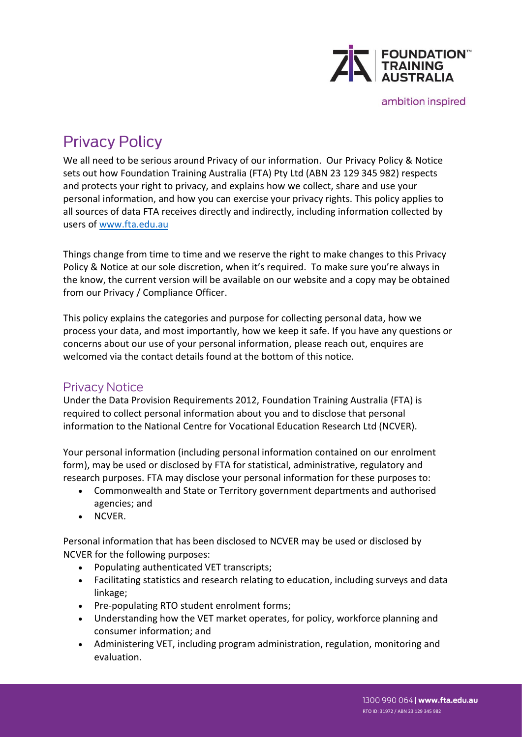

ambition inspired

# **Privacy Policy**

We all need to be serious around Privacy of our information. Our Privacy Policy & Notice sets out how Foundation Training Australia (FTA) Pty Ltd (ABN 23 129 345 982) respects and protects your right to privacy, and explains how we collect, share and use your personal information, and how you can exercise your privacy rights. This policy applies to all sources of data FTA receives directly and indirectly, including information collected by users of [www.fta.edu.au](http://www.fta.edu.au/)

Things change from time to time and we reserve the right to make changes to this Privacy Policy & Notice at our sole discretion, when it's required. To make sure you're always in the know, the current version will be available on our website and a copy may be obtained from our Privacy / Compliance Officer.

This policy explains the categories and purpose for collecting personal data, how we process your data, and most importantly, how we keep it safe. If you have any questions or concerns about our use of your personal information, please reach out, enquires are welcomed via the contact details found at the bottom of this notice.

### **Privacy Notice**

Under the Data Provision Requirements 2012, Foundation Training Australia (FTA) is required to collect personal information about you and to disclose that personal information to the National Centre for Vocational Education Research Ltd (NCVER).

Your personal information (including personal information contained on our enrolment form), may be used or disclosed by FTA for statistical, administrative, regulatory and research purposes. FTA may disclose your personal information for these purposes to:

- Commonwealth and State or Territory government departments and authorised agencies; and
- NCVER.

Personal information that has been disclosed to NCVER may be used or disclosed by NCVER for the following purposes:

- Populating authenticated VET transcripts;
- Facilitating statistics and research relating to education, including surveys and data linkage;
- Pre-populating RTO student enrolment forms;
- Understanding how the VET market operates, for policy, workforce planning and consumer information; and
- Administering VET, including program administration, regulation, monitoring and evaluation.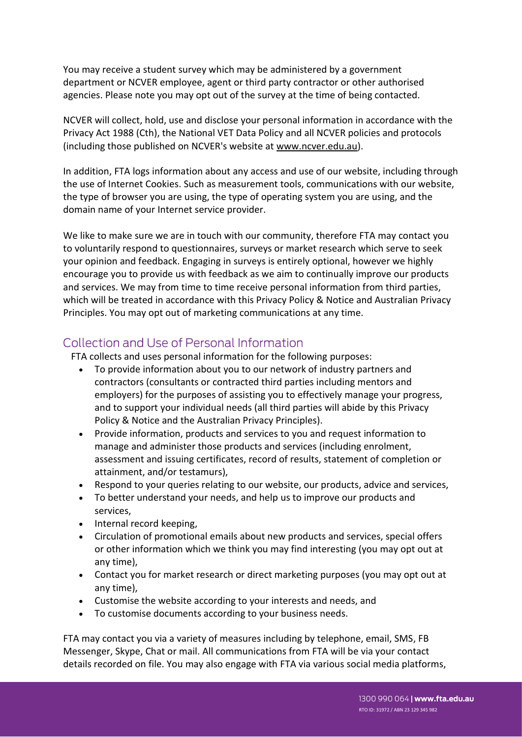You may receive a student survey which may be administered by a government department or NCVER employee, agent or third party contractor or other authorised agencies. Please note you may opt out of the survey at the time of being contacted.

NCVER will collect, hold, use and disclose your personal information in accordance with the Privacy Act 1988 (Cth), the National VET Data Policy and all NCVER policies and protocols (including those published on NCVER's website at [www.ncver.edu.au\)](http://www.ncver.edu.au/).

In addition, FTA logs information about any access and use of our website, including through the use of Internet Cookies. Such as measurement tools, communications with our website, the type of browser you are using, the type of operating system you are using, and the domain name of your Internet service provider.

We like to make sure we are in touch with our community, therefore FTA may contact you to voluntarily respond to questionnaires, surveys or market research which serve to seek your opinion and feedback. Engaging in surveys is entirely optional, however we highly encourage you to provide us with feedback as we aim to continually improve our products and services. We may from time to time receive personal information from third parties, which will be treated in accordance with this Privacy Policy & Notice and Australian Privacy Principles. You may opt out of marketing communications at any time.

## Collection and Use of Personal Information

FTA collects and uses personal information for the following purposes:

- To provide information about you to our network of industry partners and contractors (consultants or contracted third parties including mentors and employers) for the purposes of assisting you to effectively manage your progress, and to support your individual needs (all third parties will abide by this Privacy Policy & Notice and the Australian Privacy Principles).
- Provide information, products and services to you and request information to manage and administer those products and services (including enrolment, assessment and issuing certificates, record of results, statement of completion or attainment, and/or testamurs),
- Respond to your queries relating to our website, our products, advice and services,
- To better understand your needs, and help us to improve our products and services,
- Internal record keeping,
- Circulation of promotional emails about new products and services, special offers or other information which we think you may find interesting (you may opt out at any time),
- Contact you for market research or direct marketing purposes (you may opt out at any time),
- Customise the website according to your interests and needs, and
- To customise documents according to your business needs.

FTA may contact you via a variety of measures including by telephone, email, SMS, FB Messenger, Skype, Chat or mail. All communications from FTA will be via your contact details recorded on file. You may also engage with FTA via various social media platforms,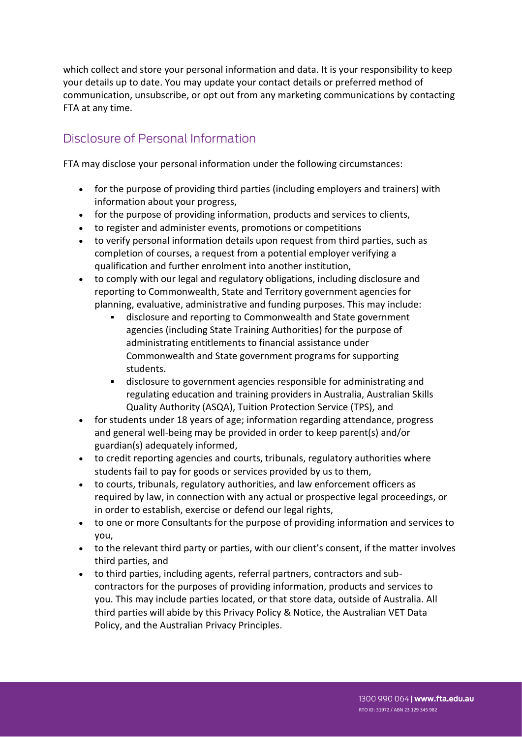which collect and store your personal information and data. It is your responsibility to keep your details up to date. You may update your contact details or preferred method of communication, unsubscribe, or opt out from any marketing communications by contacting FTA at any time.

## Disclosure of Personal Information

FTA may disclose your personal information under the following circumstances:

- for the purpose of providing third parties (including employers and trainers) with information about your progress,
- for the purpose of providing information, products and services to clients,
- to register and administer events, promotions or competitions
- to verify personal information details upon request from third parties, such as completion of courses, a request from a potential employer verifying a qualification and further enrolment into another institution,
- to comply with our legal and regulatory obligations, including disclosure and reporting to Commonwealth, State and Territory government agencies for planning, evaluative, administrative and funding purposes. This may include:
	- disclosure and reporting to Commonwealth and State government agencies (including State Training Authorities) for the purpose of administrating entitlements to financial assistance under Commonwealth and State government programs for supporting students.
	- disclosure to government agencies responsible for administrating and regulating education and training providers in Australia, Australian Skills Quality Authority (ASQA), Tuition Protection Service (TPS), and
- for students under 18 years of age; information regarding attendance, progress and general well-being may be provided in order to keep parent(s) and/or guardian(s) adequately informed,
- to credit reporting agencies and courts, tribunals, regulatory authorities where students fail to pay for goods or services provided by us to them,
- to courts, tribunals, regulatory authorities, and law enforcement officers as required by law, in connection with any actual or prospective legal proceedings, or in order to establish, exercise or defend our legal rights,
- to one or more Consultants for the purpose of providing information and services to you,
- to the relevant third party or parties, with our client's consent, if the matter involves third parties, and
- to third parties, including agents, referral partners, contractors and subcontractors for the purposes of providing information, products and services to you. This may include parties located, or that store data, outside of Australia. All third parties will abide by this Privacy Policy & Notice, the Australian VET Data Policy, and the Australian Privacy Principles.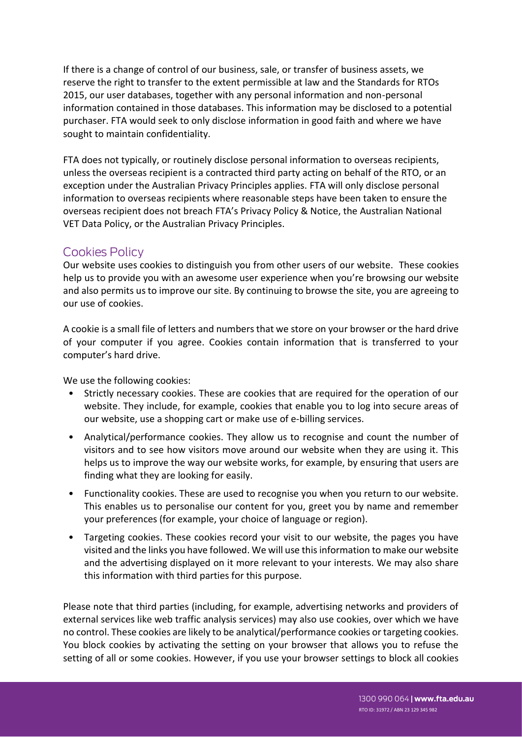If there is a change of control of our business, sale, or transfer of business assets, we reserve the right to transfer to the extent permissible at law and the Standards for RTOs 2015, our user databases, together with any personal information and non-personal information contained in those databases. This information may be disclosed to a potential purchaser. FTA would seek to only disclose information in good faith and where we have sought to maintain confidentiality.

FTA does not typically, or routinely disclose personal information to overseas recipients, unless the overseas recipient is a contracted third party acting on behalf of the RTO, or an exception under the Australian Privacy Principles applies. FTA will only disclose personal information to overseas recipients where reasonable steps have been taken to ensure the overseas recipient does not breach FTA's Privacy Policy & Notice, the Australian National VET Data Policy, or the Australian Privacy Principles.

#### **Cookies Policy**

Our website uses cookies to distinguish you from other users of our website. These cookies help us to provide you with an awesome user experience when you're browsing our website and also permits us to improve our site. By continuing to browse the site, you are agreeing to our use of cookies.

A cookie is a small file of letters and numbers that we store on your browser or the hard drive of your computer if you agree. Cookies contain information that is transferred to your computer's hard drive.

We use the following cookies:

- Strictly necessary cookies. These are cookies that are required for the operation of our website. They include, for example, cookies that enable you to log into secure areas of our website, use a shopping cart or make use of e-billing services.
- Analytical/performance cookies. They allow us to recognise and count the number of visitors and to see how visitors move around our website when they are using it. This helps us to improve the way our website works, for example, by ensuring that users are finding what they are looking for easily.
- Functionality cookies. These are used to recognise you when you return to our website. This enables us to personalise our content for you, greet you by name and remember your preferences (for example, your choice of language or region).
- Targeting cookies. These cookies record your visit to our website, the pages you have visited and the links you have followed. We will use this information to make our website and the advertising displayed on it more relevant to your interests. We may also share this information with third parties for this purpose.

Please note that third parties (including, for example, advertising networks and providers of external services like web traffic analysis services) may also use cookies, over which we have no control. These cookies are likely to be analytical/performance cookies or targeting cookies. You block cookies by activating the setting on your browser that allows you to refuse the setting of all or some cookies. However, if you use your browser settings to block all cookies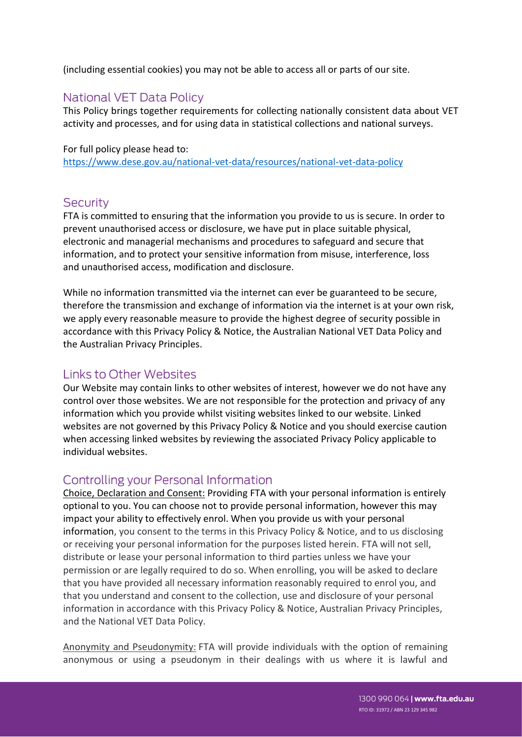(including essential cookies) you may not be able to access all or parts of our site.

## **National VET Data Policy**

This Policy brings together requirements for collecting nationally consistent data about VET activity and processes, and for using data in statistical collections and national surveys.

For full policy please head to: <https://www.dese.gov.au/national-vet-data/resources/national-vet-data-policy>

#### **Security**

FTA is committed to ensuring that the information you provide to us is secure. In order to prevent unauthorised access or disclosure, we have put in place suitable physical, electronic and managerial mechanisms and procedures to safeguard and secure that information, and to protect your sensitive information from misuse, interference, loss and unauthorised access, modification and disclosure.

While no information transmitted via the internet can ever be guaranteed to be secure, therefore the transmission and exchange of information via the internet is at your own risk, we apply every reasonable measure to provide the highest degree of security possible in accordance with this Privacy Policy & Notice, the Australian National VET Data Policy and the Australian Privacy Principles.

### Links to Other Websites

Our Website may contain links to other websites of interest, however we do not have any control over those websites. We are not responsible for the protection and privacy of any information which you provide whilst visiting websites linked to our website. Linked websites are not governed by this Privacy Policy & Notice and you should exercise caution when accessing linked websites by reviewing the associated Privacy Policy applicable to individual websites.

### Controlling your Personal Information

Choice, Declaration and Consent: Providing FTA with your personal information is entirely optional to you. You can choose not to provide personal information, however this may impact your ability to effectively enrol. When you provide us with your personal information, you consent to the terms in this Privacy Policy & Notice, and to us disclosing or receiving your personal information for the purposes listed herein. FTA will not sell, distribute or lease your personal information to third parties unless we have your permission or are legally required to do so. When enrolling, you will be asked to declare that you have provided all necessary information reasonably required to enrol you, and that you understand and consent to the collection, use and disclosure of your personal information in accordance with this Privacy Policy & Notice, Australian Privacy Principles, and the National VET Data Policy.

Anonymity and Pseudonymity: FTA will provide individuals with the option of remaining anonymous or using a pseudonym in their dealings with us where it is lawful and